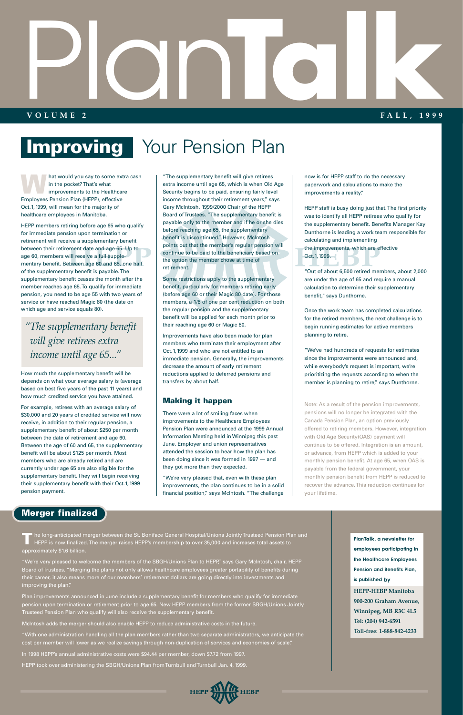hat would you say to some extra cash in the pocket? That's what improvements to the Healthcare Employees Pension Plan (HEPP), effective Oct.1, 1999, will mean for the majority of healthcare employees in Manitoba.

HEPP members retiring before age 65 who qualify for immediate pension upon termination or retirement will receive a supplementary benefit between their retirement date and age 65. Up to age 60, members will receive a full supplementary benefit. Between age 60 and 65, one half of the supplementary benefit is payable. The supplementary benefit ceases the month after the member reaches age 65. To qualify for immediate pension, you need to be age 55 with two years of service or have reached Magic 80 (the date on which age and service equals 80).

How much the supplementary benefit will be depends on what your average salary is (average based on best five years of the past 11 years) and how much credited service you have attained.

For example, retirees with an average salary of \$30,000 and 20 years of credited service will now receive, in addition to their regular pension, a supplementary benefit of about \$250 per month between the date of retirement and age 60. Between the age of 60 and 65, the supplementary benefit will be about \$125 per month. Most members who are already retired and are currently under age 65 are also eligible for the supplementary benefit. They will begin receiving their supplementary benefit with their Oct.1, 1999 pension payment.

"The supplementary benefit will give retirees extra income until age 65, which is when Old Age Security begins to be paid, ensuring fairly level income throughout their retirement years," says Gary McIntosh, 1999/2000 Chair of the HEPP Board of Trustees. "The supplementary benefit is payable only to the member and if he or she dies before reaching age 65, the supplementary benefit is discontinued." However, McIntosh points out that the member's regular pension will continue to be paid to the beneficiary based on the option the member chose at time of retirement.

> "We've had hundreds of requests for estimates since the improvements were announced and, while everybody's request is important, we're prioritizing the requests according to when the member is planning to retire," says Dunthorne.

Some restrictions apply to the supplementary benefit, particularly for members retiring early (before age 60 or their Magic 80 date). For those members, a 1/8 of one per cent reduction on both the regular pension and the supplementary benefit will be applied for each month prior to their reaching age 60 or Magic 80.

# Plan **VOLUME 2 Talk**<br> **Talk**<br>
FALL, 1999 **F ALL, 1999**

### **Improving** Your Pension Plan

TT he long-anticipated merger between the St. Boniface General Hospital/Unions Jointly Trusteed Pension Plan and<br>HEPP is now finalized. The merger raises HEPP's membership to over 35,000 and increases total assets to approximately \$1.6 billion.

Improvements have also been made for plan members who terminate their employment after Oct.1, 1999 and who are not entitled to an immediate pension. Generally, the improvements decrease the amount of early retirement reductions applied to deferred pensions and transfers by about half.

#### **Making it happen**

There were a lot of smiling faces when improvements to the Healthcare Employees Pension Plan were announced at the 1999 Annual Information Meeting held in Winnipeg this past June. Employer and union representatives attended the session to hear how the plan has been doing since it was formed in 1997 — and they got more than they expected.

"We're very pleased that, even with these plan improvements, the plan continues to be in a solid financial position," says McIntosh. "The challenge

now is for HEPP staff to do the necessary paperwork and calculations to make the improvements a reality."

HEPP staff is busy doing just that. The first priority was to identify all HEPP retirees who qualify for the supplementary benefit. Benefits Manager Kay Dunthorne is leading a work team responsible for calculating and implementing the improvements, which are effective Oct.1, 1999.

"Out of about 6,500 retired members, about 2,000 are under the age of 65 and require a manual calculation to determine their supplementary benefit," says Dunthorne.

Once the work team has completed calculations for the retired members, the next challenge is to begin running estimates for active members planning to retire.

Note: As a result of the pension improvements, pensions will no longer be integrated with the Canada Pension Plan, an option previously offered to retiring members. However, integration with Old Age Security(OAS) payment will continue to be offered. Integration is an amount, or advance, from HEPP which is added to your monthly pension benefit. At age 65, when OAS is payable from the federal government, your monthly pension benefit from HEPP is reduced to recover the advance. This reduction continues for your lifetime.

"We're very pleased to welcome the members of the SBGH/Unions Plan to HEPP," says Gary McIntosh, chair, HEPP Board of Trustees. "Merging the plans not only allows healthcare employees greater portability of benefits during their career, it also means more of our members' retirement dollars are going directly into investments and improving the plan."

Plan improvements announced in June include a supplementary benefit for members who qualify for immediate pension upon termination or retirement prior to age 65. New HEPP members from the former SBGH/Unions Jointly Trusteed Pension Plan who qualify will also receive the supplementary benefit.

McIntosh adds the merger should also enable HEPP to reduce administrative costs in the future.

"With one administration handling all the plan members rather than two separate administrators, we anticipate the cost per member will lower as we realize savings through non-duplication of services and economies of scale."

In 1998 HEPP's annual administrative costs were \$94.44 per member, down \$7.72 from 1997.

HEPP took over administering the SBGH/Unions Plan from Turnbull and Turnbull Jan. 4, 1999.



**HEPP-HEBP Manitoba 900-200 Graham Avenue, Winnipeg, MB R3C 4L5 Tel: (204) 942-6591 Toll-free: 1-888-842-4233 PlanTalk, a newsletter for employees participating in the Healthcare Employees Pension and Benefits Plan, is published by**

### *"The supplementary benefit will give retirees extra income until age 65..."*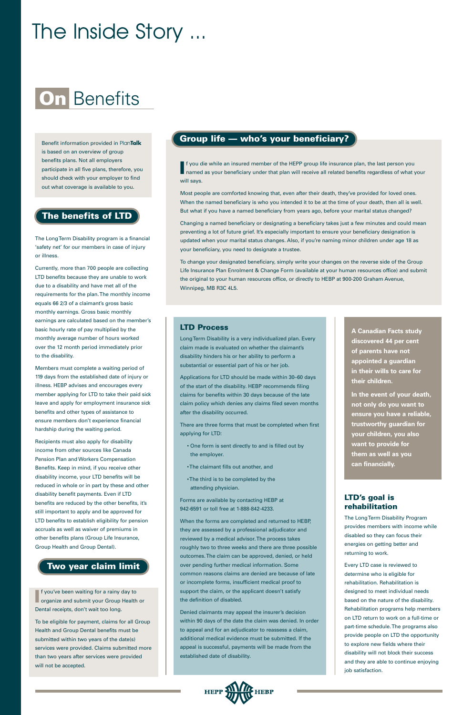If you die while an insured member of the HEPP group life insurance plan, the last person you<br>I named as your beneficiary under that plan will receive all related benefits regardless of what your f you die while an insured member of the HEPP group life insurance plan, the last person you will says.

Most people are comforted knowing that, even after their death, they've provided for loved ones. When the named beneficiary is who you intended it to be at the time of your death, then all is well. But what if you have a named beneficiary from years ago, before your marital status changed?

Changing a named beneficiary or designating a beneficiary takes just a few minutes and could mean preventing a lot of future grief. It's especially important to ensure your beneficiary designation is updated when your marital status changes. Also, if you're naming minor children under age 18 as your beneficiary, you need to designate a trustee.

To change your designated beneficiary, simply write your changes on the reverse side of the Group Life Insurance Plan Enrolment & Change Form (available at your human resources office) and submit the original to your human resources office, or directly to HEBP at 900-200 Graham Avenue, Winnipeg, MB R3C 4L5.

## **On** Benefits

# The Inside Story ...

The Long Term Disability program is a financial 'safety net' for our members in case of injury or illness.

Currently, more than 700 people are collecting LTD benefits because they are unable to work due to a disability and have met all of the requirements for the plan. The monthly income equals 66 2/3 of a claimant's gross basic monthly earnings. Gross basic monthly earnings are calculated based on the member's basic hourly rate of pay multiplied by the monthly average number of hours worked over the 12 month period immediately prior to the disability.

Members must complete a waiting period of 119 days from the established date of injury or illness. HEBP advises and encourages every member applying for LTD to take their paid sick leave and apply for employment insurance sick benefits and other types of assistance to ensure members don't experience financial hardship during the waiting period.

Recipients must also apply for disability income from other sources like Canada Pension Plan and Workers Compensation Benefits. Keep in mind, if you receive other disability income, your LTD benefits will be reduced in whole or in part by these and other disability benefit payments. Even if LTD benefits are reduced by the other benefits, it's still important to apply and be approved for LTD benefits to establish eligibility for pension

accruals as well as waiver of premiums in other benefits plans (Group Life Insurance, Group Health and Group Dental).

**I** f you've been waiting for a rainy day to organize and submit your Group Health or f you've been waiting for a rainy day to Dental receipts, don't wait too long.

#### **LTD Process**

Long Term Disability is a very individualized plan. Every claim made is evaluated on whether the claimant's disability hinders his or her ability to perform a substantial or essential part of his or her job.

Applications for LTD should be made within 30–60 days of the start of the disability. HEBP recommends filing claims for benefits within 30 days because of the late claim policy which denies any claims filed seven months after the disability occurred.

There are three forms that must be completed when first applying for LTD:

- One form is sent directly to and is filled out by the employer.
- The claimant fills out another, and
- The third is to be completed by the attending physician.

Forms are available by contacting HEBP at 942-6591 or toll free at 1-888-842-4233.

When the forms are completed and returned to HEBP,

they are assessed by a professional adjudicator and reviewed by a medical advisor. The process takes roughly two to three weeks and there are three possible outcomes. The claim can be approved, denied, or held over pending further medical information. Some common reasons claims are denied are because of late or incomplete forms, insufficient medical proof to support the claim, or the applicant doesn't satisfy the definition of disabled.

Denied claimants may appeal the insurer's decision within 90 days of the date the claim was denied. In order to appeal and for an adjudicator to reassess a claim, additional medical evidence must be submitted. If the appeal is successful, payments will be made from the established date of disability.

> **HEPP HEBP**

#### **LTD's goal is rehabilitation**

The Long Term Disability Program provides members with income while disabled so they can focus their energies on getting better and returning to work.

Every LTD case is reviewed to determine who is eligible for rehabilitation. Rehabilitation is designed to meet individual needs based on the nature of the disability. Rehabilitation programs help members on LTD return to work on a full-time or part-time schedule. The programs also provide people on LTD the opportunity to explore new fields where their disability will not block their success and they are able to continue enjoying job satisfaction.

Benefit information provided in Plan**Talk** is based on an overview of group benefits plans. Not all employers participate in all five plans, therefore, you should check with your employer to find out what coverage is available to you.

To be eligible for payment, claims for all Group Health and Group Dental benefits must be submitted within two years of the date(s) services were provided. Claims submitted more than two years after services were provided will not be accepted.

#### **Two year claim limit**

### **Group life — who's your beneficiary?**

#### **The benefits of LTD**

**A Canadian Facts study discovered 44 per cent of parents have not appointed a guardian in their wills to care for their children.**

**In the event of your death, not only do you want to ensure you have a reliable, trustworthy guardian for your children, you also want to provide for them as well as you can financially.**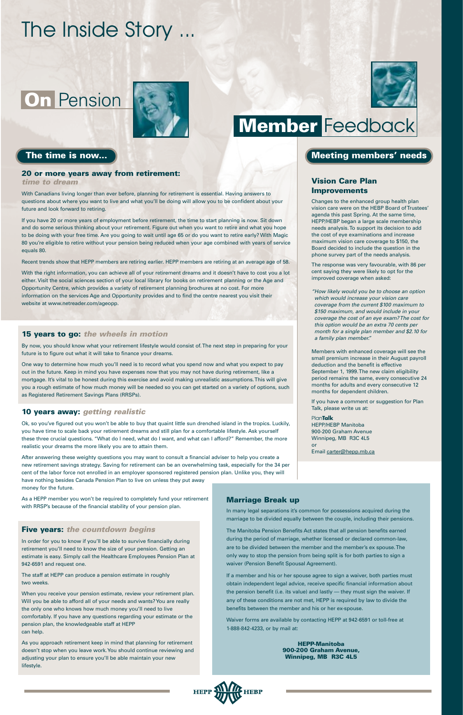### **On** Pension



# The Inside Story ...

#### **Vision Care Plan Improvements**

Changes to the enhanced group health plan vision care were on the HEBP Board of Trustees' agenda this past Spring. At the same time, HEPP/HEBP began a large scale membership needs analysis. To support its decision to add the cost of eye examinations and increase maximum vision care coverage to \$150, the Board decided to include the question in the phone survey part of the needs analysis.

The response was very favourable, with 86 per cent saying they were likely to opt for the improved coverage when asked:

*"How likely would you be to choose an option which would increase your vision care coverage from the current \$100 maximum to \$150 maximum, and would include in your coverage the cost of an eye exam? The cost for this option would be an extra 70 cents per month for a single plan member and \$2.10 for a family plan member."*

Members with enhanced coverage will see the small premium increase in their August payroll deduction and the benefit is effective September 1, 1999. The new claim eligibility period remains the same, every consecutive 24 months for adults and every consecutive 12 months for dependent children.

If you have a comment or suggestion for Plan Talk, please write us at:

Plan**Talk** HEPP/HEBP Manitoba 900-200 Graham Avenue Winnipeg, MB R3C 4L5 or

Email carter@hepp.mb.ca

### **Member** Feedback

#### The time is now... **We are the contract of the contract of the contract of the contract of the contract of the contract of the contract of the contract of the contract of the contract of the contract of the contract of the**

#### **10 years away:** *getting realistic*

Ok, so you've figured out you won't be able to buy that quaint little sun drenched island in the tropics. Luckily, you have time to scale back your retirement dreams and still plan for a comfortable lifestyle. Ask yourself these three crucial questions. "What do I need, what do I want, and what can I afford?" Remember, the more realistic your dreams the more likely you are to attain them.

After answering these weighty questions you may want to consult a financial adviser to help you create a new retirement savings strategy. Saving for retirement can be an overwhelming task, especially for the 34 per cent of the labor force not enrolled in an employer sponsored registered pension plan. Unlike you, they will have nothing besides Canada Pension Plan to live on unless they put away money for the future.

As a HEPP member you won't be required to completely fund your retirement with RRSP's because of the financial stability of your pension plan.

#### **Five years:** *the countdown begins*

In order for you to know if you'll be able to survive financially during retirement you'll need to know the size of your pension. Getting an estimate is easy. Simply call the Healthcare Employees Pension Plan at 942-6591 and request one.

The staff at HEPP can produce a pension estimate in roughly two weeks.

When you receive your pension estimate, review your retirement plan. Will you be able to afford all of your needs and wants? You are really the only one who knows how much money you'll need to live comfortably. If you have any questions regarding your estimate or the pension plan, the knowledgeable staff at HEPP can help.

As you approach retirement keep in mind that planning for retirement doesn't stop when you leave work. You should continue reviewing and adjusting your plan to ensure you'll be able maintain your new lifestyle.

#### **20 or more years away from retirement:**

*time to dream*

With Canadians living longer than ever before, planning for retirement is essential. Having answers to questions about where you want to live and what you'll be doing will allow you to be confident about your future and look forward to retiring.

If you have 20 or more years of employment before retirement, the time to start planning is now. Sit down and do some serious thinking about your retirement. Figure out when you want to retire and what you hope to be doing with your free time. Are you going to wait until age 65 or do you want to retire early? With Magic 80 you're eligible to retire without your pension being reduced when your age combined with years of service equals 80.

Recent trends show that HEPP members are retiring earlier. HEPP members are retiring at an average age of 58.

With the right information, you can achieve all of your retirement dreams and it doesn't have to cost you a lot either. Visit the social sciences section of your local library for books on retirement planning or the Age and Opportunity Centre, which provides a variety of retirement planning brochures at no cost. For more information on the services Age and Opportunity provides and to find the centre nearest you visit their website at www.netreader.com/ageopp.

#### **15 years to go:** *the wheels in motion*

By now, you should know what your retirement lifestyle would consist of. The next step in preparing for your future is to figure out what it will take to finance your dreams.

One way to determine how much you'll need is to record what you spend now and what you expect to pay out in the future. Keep in mind you have expenses now that you may not have during retirement, like a mortgage. It's vital to be honest during this exercise and avoid making unrealistic assumptions. This will give you a rough estimate of how much money will be needed so you can get started on a variety of options, such as Registered Retirement Savings Plans (RRSPs).

#### **Marriage Break up**

In many legal separations it's common for possessions acquired during the marriage to be divided equally between the couple, including their pensions.



The Manitoba Pension Benefits Act states that all pension benefits earned during the period of marriage, whether licensed or declared common-law, are to be divided between the member and the member's ex spouse. The only way to stop the pension from being split is for both parties to sign a waiver (Pension Benefit Spousal Agreement).

If a member and his or her spouse agree to sign a waiver, both parties must obtain independent legal advice, receive specific financial information about the pension benefit (i.e. its value) and lastly — they must sign the waiver. If any of these conditions are not met, HEPP is required by law to divide the benefits between the member and his or her ex-spouse.

Waiver forms are available by contacting HEPP at 942-6591 or toll-free at 1-888-842-4233, or by mail at:

> **HEPP-Manitoba 900-200 Graham Avenue, Winnipeg, MB R3C 4L5**